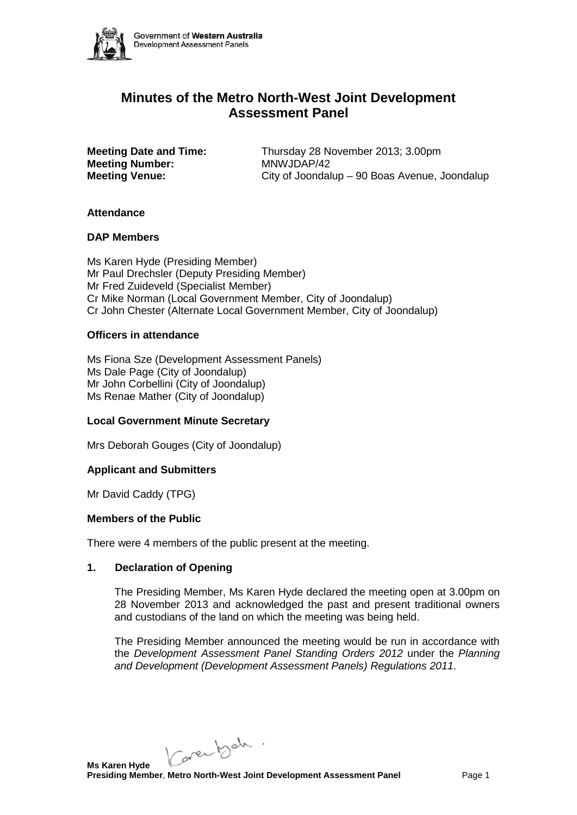

# **Minutes of the Metro North-West Joint Development Assessment Panel**

**Meeting Number:<br>Meeting Venue:** 

**Meeting Date and Time:** Thursday 28 November 2013; 3.00pm<br>**Meeting Number:** MNWJDAP/42 **Meeting Venue:** City of Joondalup – 90 Boas Avenue, Joondalup

## **Attendance**

## **DAP Members**

Ms Karen Hyde (Presiding Member) Mr Paul Drechsler (Deputy Presiding Member) Mr Fred Zuideveld (Specialist Member) Cr Mike Norman (Local Government Member, City of Joondalup) Cr John Chester (Alternate Local Government Member, City of Joondalup)

## **Officers in attendance**

Ms Fiona Sze (Development Assessment Panels) Ms Dale Page (City of Joondalup) Mr John Corbellini (City of Joondalup) Ms Renae Mather (City of Joondalup)

# **Local Government Minute Secretary**

Mrs Deborah Gouges (City of Joondalup)

# **Applicant and Submitters**

Mr David Caddy (TPG)

#### **Members of the Public**

There were 4 members of the public present at the meeting.

#### **1. Declaration of Opening**

The Presiding Member, Ms Karen Hyde declared the meeting open at 3.00pm on 28 November 2013 and acknowledged the past and present traditional owners and custodians of the land on which the meeting was being held.

The Presiding Member announced the meeting would be run in accordance with the *Development Assessment Panel Standing Orders 2012* under the *Planning and Development (Development Assessment Panels) Regulations 2011*.

Caren beh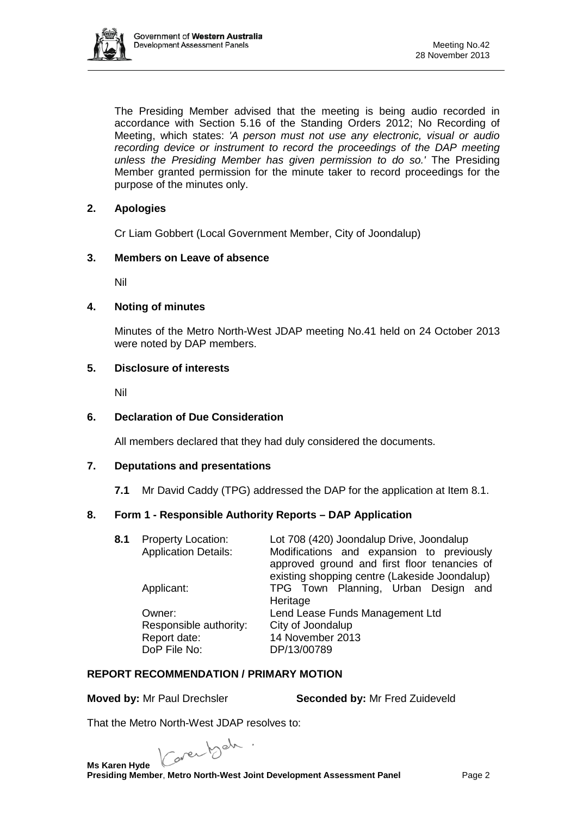

The Presiding Member advised that the meeting is being audio recorded in accordance with Section 5.16 of the Standing Orders 2012; No Recording of Meeting, which states: *'A person must not use any electronic, visual or audio*  recording device or instrument to record the proceedings of the DAP meeting *unless the Presiding Member has given permission to do so.'* The Presiding Member granted permission for the minute taker to record proceedings for the purpose of the minutes only.

# **2. Apologies**

Cr Liam Gobbert (Local Government Member, City of Joondalup)

## **3. Members on Leave of absence**

Nil

## **4. Noting of minutes**

Minutes of the Metro North-West JDAP meeting No.41 held on 24 October 2013 were noted by DAP members.

## **5. Disclosure of interests**

Nil

#### **6. Declaration of Due Consideration**

All members declared that they had duly considered the documents.

#### **7. Deputations and presentations**

**7.1** Mr David Caddy (TPG) addressed the DAP for the application at Item 8.1.

# **8. Form 1 - Responsible Authority Reports – DAP Application**

| 8.1 | <b>Property Location:</b><br><b>Application Details:</b>         | Lot 708 (420) Joondalup Drive, Joondalup<br>Modifications and expansion to previously<br>approved ground and first floor tenancies of<br>existing shopping centre (Lakeside Joondalup) |
|-----|------------------------------------------------------------------|----------------------------------------------------------------------------------------------------------------------------------------------------------------------------------------|
|     | Applicant:                                                       | TPG Town Planning, Urban Design and<br>Heritage                                                                                                                                        |
|     | Owner:<br>Responsible authority:<br>Report date:<br>DoP File No: | Lend Lease Funds Management Ltd<br>City of Joondalup<br>14 November 2013<br>DP/13/00789                                                                                                |

# **REPORT RECOMMENDATION / PRIMARY MOTION**

**Moved by:** Mr Paul Drechsler **Seconded by:** Mr Fred Zuideveld

That the Metro North-West JDAP resolves to:

Caren beh. **Ms Karen Hyde** 

**Presiding Member**, **Metro North-West Joint Development Assessment Panel** Page 2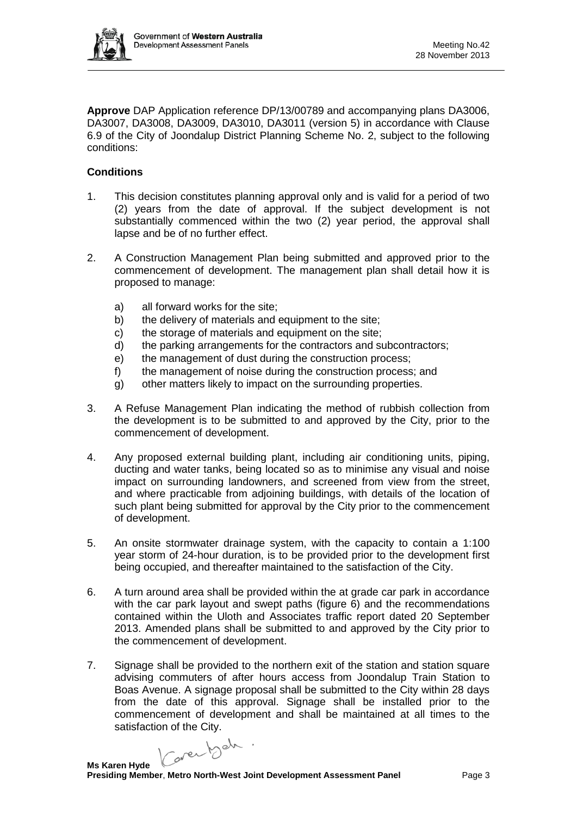

**Approve** DAP Application reference DP/13/00789 and accompanying plans DA3006, DA3007, DA3008, DA3009, DA3010, DA3011 (version 5) in accordance with Clause 6.9 of the City of Joondalup District Planning Scheme No. 2, subject to the following conditions:

# **Conditions**

- 1. This decision constitutes planning approval only and is valid for a period of two (2) years from the date of approval. If the subject development is not substantially commenced within the two (2) year period, the approval shall lapse and be of no further effect.
- 2. A Construction Management Plan being submitted and approved prior to the commencement of development. The management plan shall detail how it is proposed to manage:
	- a) all forward works for the site;
	- b) the delivery of materials and equipment to the site;
	- c) the storage of materials and equipment on the site;
	- d) the parking arrangements for the contractors and subcontractors;
	- e) the management of dust during the construction process;
	- f) the management of noise during the construction process; and
	- g) other matters likely to impact on the surrounding properties.
- 3. A Refuse Management Plan indicating the method of rubbish collection from the development is to be submitted to and approved by the City, prior to the commencement of development.
- 4. Any proposed external building plant, including air conditioning units, piping, ducting and water tanks, being located so as to minimise any visual and noise impact on surrounding landowners, and screened from view from the street, and where practicable from adjoining buildings, with details of the location of such plant being submitted for approval by the City prior to the commencement of development.
- 5. An onsite stormwater drainage system, with the capacity to contain a 1:100 year storm of 24-hour duration, is to be provided prior to the development first being occupied, and thereafter maintained to the satisfaction of the City.
- 6. A turn around area shall be provided within the at grade car park in accordance with the car park layout and swept paths (figure 6) and the recommendations contained within the Uloth and Associates traffic report dated 20 September 2013. Amended plans shall be submitted to and approved by the City prior to the commencement of development.
- 7. Signage shall be provided to the northern exit of the station and station square advising commuters of after hours access from Joondalup Train Station to Boas Avenue. A signage proposal shall be submitted to the City within 28 days from the date of this approval. Signage shall be installed prior to the commencement of development and shall be maintained at all times to the

satisfaction of the City.<br> $\sqrt{2\pi r^2}$